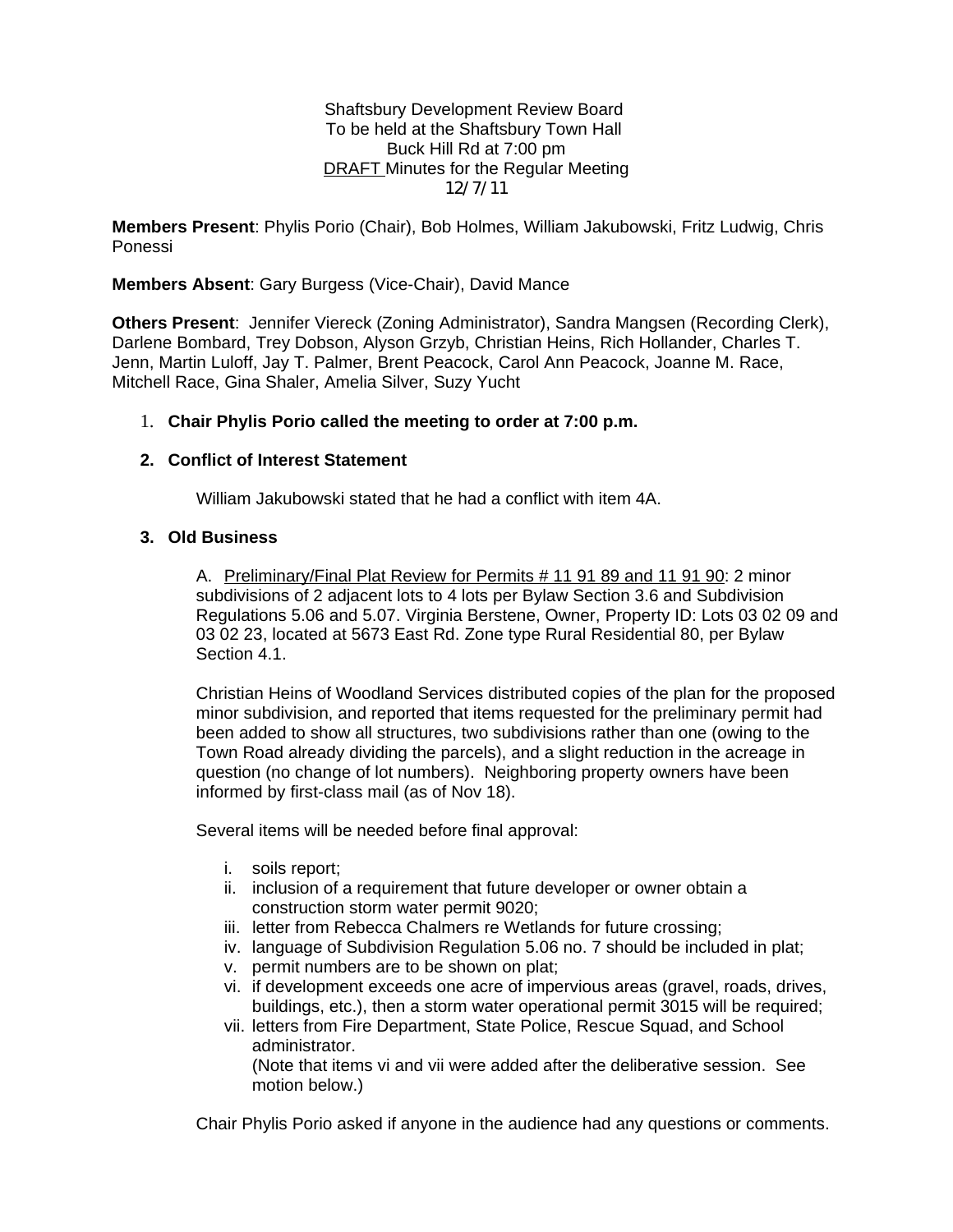Shaftsbury Development Review Board To be held at the Shaftsbury Town Hall Buck Hill Rd at 7:00 pm **DRAFT** Minutes for the Regular Meeting 12/7/11

**Members Present**: Phylis Porio (Chair), Bob Holmes, William Jakubowski, Fritz Ludwig, Chris Ponessi

**Members Absent**: Gary Burgess (Vice-Chair), David Mance

**Others Present**: Jennifer Viereck (Zoning Administrator), Sandra Mangsen (Recording Clerk), Darlene Bombard, Trey Dobson, Alyson Grzyb, Christian Heins, Rich Hollander, Charles T. Jenn, Martin Luloff, Jay T. Palmer, Brent Peacock, Carol Ann Peacock, Joanne M. Race, Mitchell Race, Gina Shaler, Amelia Silver, Suzy Yucht

# 1. **Chair Phylis Porio called the meeting to order at 7:00 p.m.**

### **2. Conflict of Interest Statement**

William Jakubowski stated that he had a conflict with item 4A.

# **3. Old Business**

A. Preliminary/Final Plat Review for Permits # 11 91 89 and 11 91 90: 2 minor subdivisions of 2 adjacent lots to 4 lots per Bylaw Section 3.6 and Subdivision Regulations 5.06 and 5.07. Virginia Berstene, Owner, Property ID: Lots 03 02 09 and 03 02 23, located at 5673 East Rd. Zone type Rural Residential 80, per Bylaw Section 4.1.

Christian Heins of Woodland Services distributed copies of the plan for the proposed minor subdivision, and reported that items requested for the preliminary permit had been added to show all structures, two subdivisions rather than one (owing to the Town Road already dividing the parcels), and a slight reduction in the acreage in question (no change of lot numbers). Neighboring property owners have been informed by first-class mail (as of Nov 18).

Several items will be needed before final approval:

- i. soils report;
- ii. inclusion of a requirement that future developer or owner obtain a construction storm water permit 9020;
- iii. letter from Rebecca Chalmers re Wetlands for future crossing;
- iv. language of Subdivision Regulation 5.06 no. 7 should be included in plat;
- v. permit numbers are to be shown on plat;
- vi. if development exceeds one acre of impervious areas (gravel, roads, drives, buildings, etc.), then a storm water operational permit 3015 will be required;
- vii. letters from Fire Department, State Police, Rescue Squad, and School administrator. (Note that items vi and vii were added after the deliberative session. See motion below.)

Chair Phylis Porio asked if anyone in the audience had any questions or comments.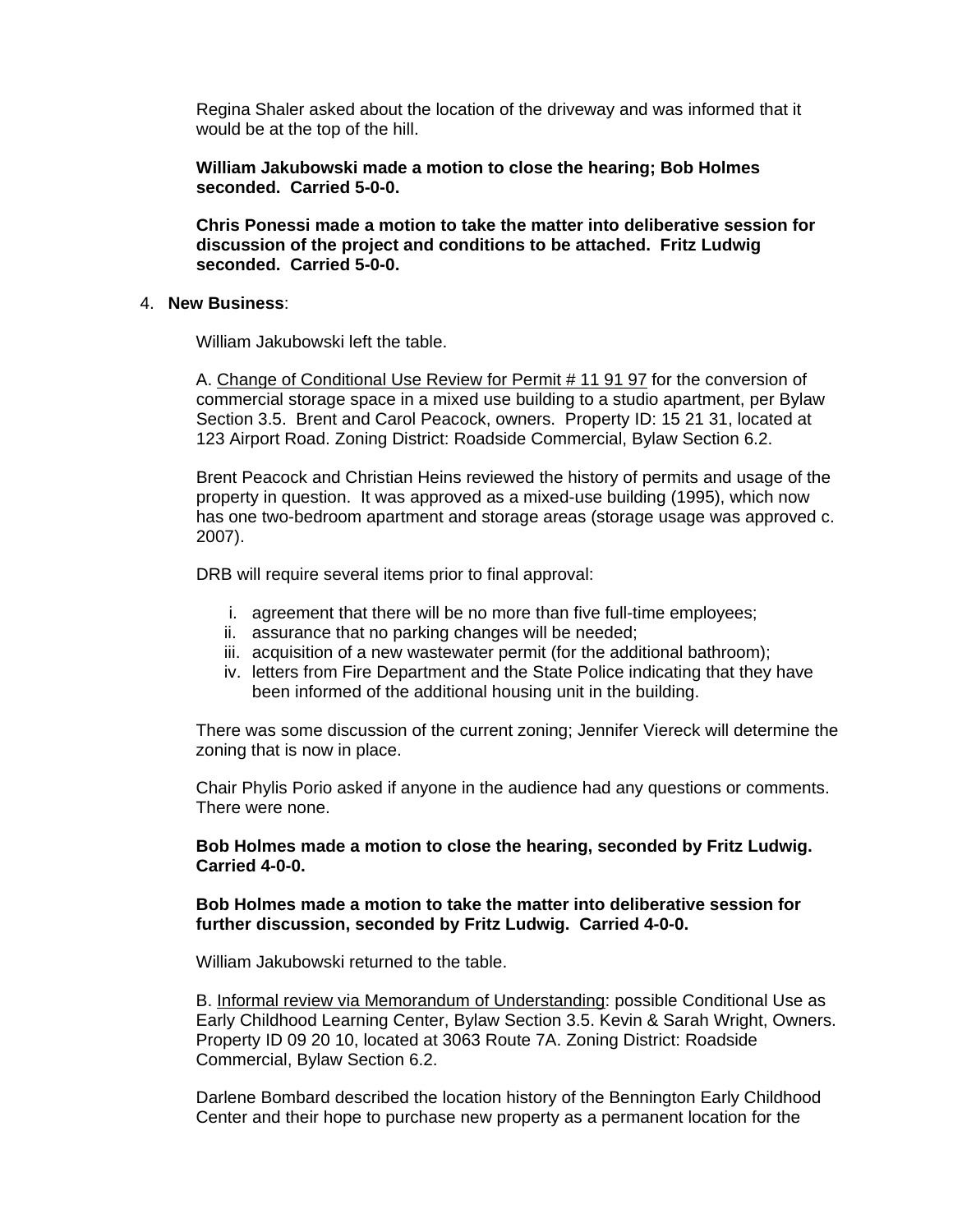Regina Shaler asked about the location of the driveway and was informed that it would be at the top of the hill.

**William Jakubowski made a motion to close the hearing; Bob Holmes seconded. Carried 5-0-0.**

**Chris Ponessi made a motion to take the matter into deliberative session for discussion of the project and conditions to be attached. Fritz Ludwig seconded. Carried 5-0-0.**

### 4. **New Business**:

William Jakubowski left the table.

A. Change of Conditional Use Review for Permit # 11 91 97 for the conversion of commercial storage space in a mixed use building to a studio apartment, per Bylaw Section 3.5. Brent and Carol Peacock, owners. Property ID: 15 21 31, located at 123 Airport Road. Zoning District: Roadside Commercial, Bylaw Section 6.2.

Brent Peacock and Christian Heins reviewed the history of permits and usage of the property in question. It was approved as a mixed-use building (1995), which now has one two-bedroom apartment and storage areas (storage usage was approved c. 2007).

DRB will require several items prior to final approval:

- i. agreement that there will be no more than five full-time employees;
- ii. assurance that no parking changes will be needed;
- iii. acquisition of a new wastewater permit (for the additional bathroom);
- iv. letters from Fire Department and the State Police indicating that they have been informed of the additional housing unit in the building.

There was some discussion of the current zoning; Jennifer Viereck will determine the zoning that is now in place.

Chair Phylis Porio asked if anyone in the audience had any questions or comments. There were none.

### **Bob Holmes made a motion to close the hearing, seconded by Fritz Ludwig. Carried 4-0-0.**

#### **Bob Holmes made a motion to take the matter into deliberative session for further discussion, seconded by Fritz Ludwig. Carried 4-0-0.**

William Jakubowski returned to the table.

B. Informal review via Memorandum of Understanding: possible Conditional Use as Early Childhood Learning Center, Bylaw Section 3.5. Kevin & Sarah Wright, Owners. Property ID 09 20 10, located at 3063 Route 7A. Zoning District: Roadside Commercial, Bylaw Section 6.2.

Darlene Bombard described the location history of the Bennington Early Childhood Center and their hope to purchase new property as a permanent location for the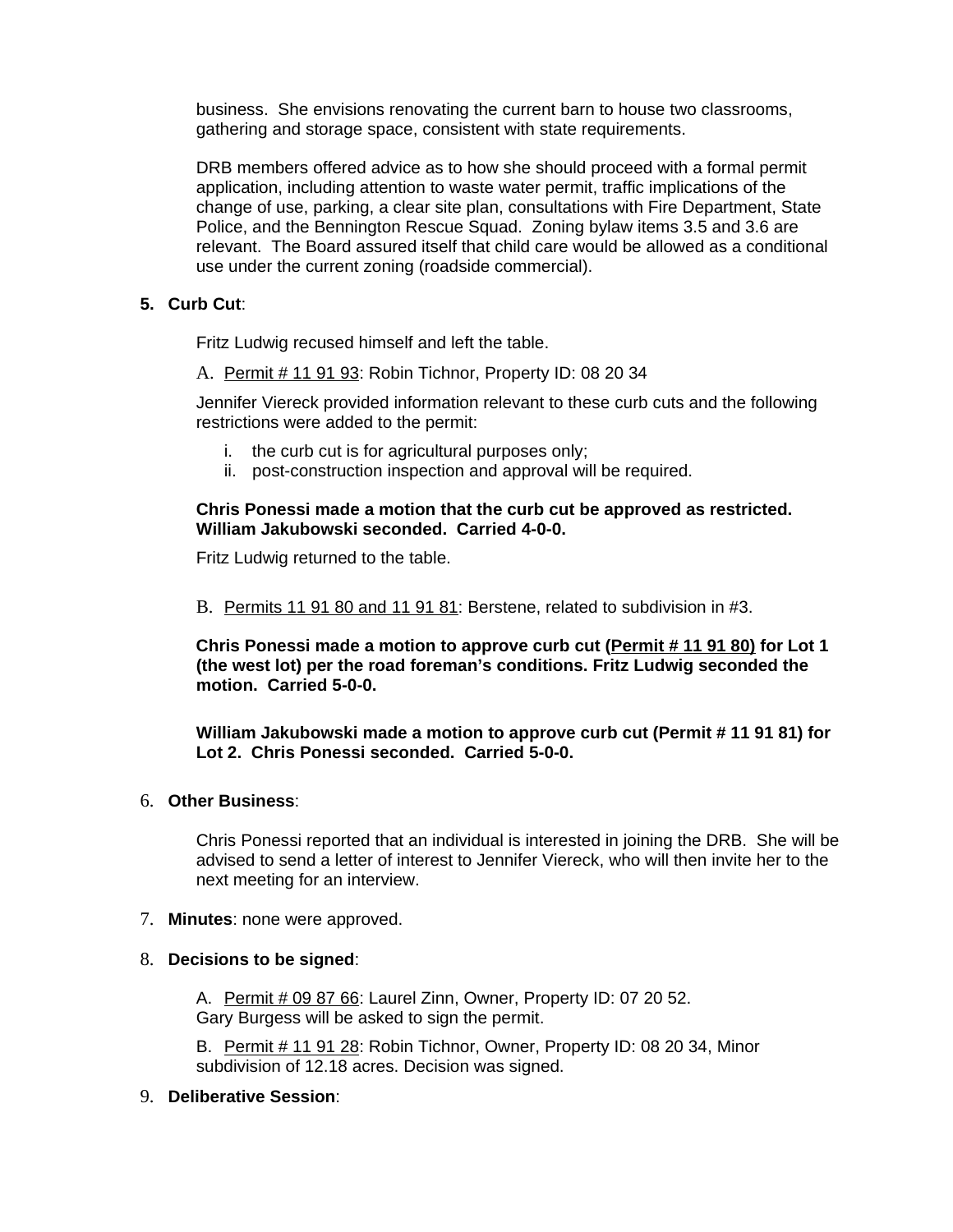business. She envisions renovating the current barn to house two classrooms, gathering and storage space, consistent with state requirements.

DRB members offered advice as to how she should proceed with a formal permit application, including attention to waste water permit, traffic implications of the change of use, parking, a clear site plan, consultations with Fire Department, State Police, and the Bennington Rescue Squad. Zoning bylaw items 3.5 and 3.6 are relevant. The Board assured itself that child care would be allowed as a conditional use under the current zoning (roadside commercial).

# **5. Curb Cut**:

Fritz Ludwig recused himself and left the table.

A. Permit # 11 91 93: Robin Tichnor, Property ID: 08 20 34

Jennifer Viereck provided information relevant to these curb cuts and the following restrictions were added to the permit:

- i. the curb cut is for agricultural purposes only;
- ii. post-construction inspection and approval will be required.

## **Chris Ponessi made a motion that the curb cut be approved as restricted. William Jakubowski seconded. Carried 4-0-0.**

Fritz Ludwig returned to the table.

B. Permits 11 91 80 and 11 91 81: Berstene, related to subdivision in #3.

**Chris Ponessi made a motion to approve curb cut (Permit # 11 91 80) for Lot 1 (the west lot) per the road foreman's conditions. Fritz Ludwig seconded the motion. Carried 5-0-0.** 

**William Jakubowski made a motion to approve curb cut (Permit # 11 91 81) for Lot 2. Chris Ponessi seconded. Carried 5-0-0.**

### 6. **Other Business**:

Chris Ponessi reported that an individual is interested in joining the DRB. She will be advised to send a letter of interest to Jennifer Viereck, who will then invite her to the next meeting for an interview.

7. **Minutes**: none were approved.

## 8. **Decisions to be signed**:

A. Permit # 09 87 66: Laurel Zinn, Owner, Property ID: 07 20 52. Gary Burgess will be asked to sign the permit.

B. Permit # 11 91 28: Robin Tichnor, Owner, Property ID: 08 20 34, Minor subdivision of 12.18 acres. Decision was signed.

## 9. **Deliberative Session**: